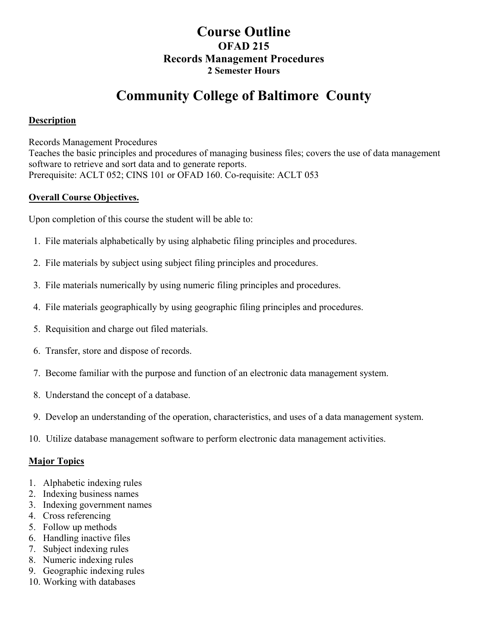## **Course Outline OFAD 215 Records Management Procedures 2 Semester Hours**

# **Community College of Baltimore County**

#### **Description**

Records Management Procedures

Teaches the basic principles and procedures of managing business files; covers the use of data management software to retrieve and sort data and to generate reports. Prerequisite: ACLT 052; CINS 101 or OFAD 160. Co-requisite: ACLT 053

#### **Overall Course Objectives.**

Upon completion of this course the student will be able to:

- 1. File materials alphabetically by using alphabetic filing principles and procedures.
- 2. File materials by subject using subject filing principles and procedures.
- 3. File materials numerically by using numeric filing principles and procedures.
- 4. File materials geographically by using geographic filing principles and procedures.
- 5. Requisition and charge out filed materials.
- 6. Transfer, store and dispose of records.
- 7. Become familiar with the purpose and function of an electronic data management system.
- 8. Understand the concept of a database.
- 9. Develop an understanding of the operation, characteristics, and uses of a data management system.
- 10. Utilize database management software to perform electronic data management activities.

#### **Major Topics**

- 1. Alphabetic indexing rules
- 2. Indexing business names
- 3. Indexing government names
- 4. Cross referencing
- 5. Follow up methods
- 6. Handling inactive files
- 7. Subject indexing rules
- 8. Numeric indexing rules
- 9. Geographic indexing rules
- 10. Working with databases